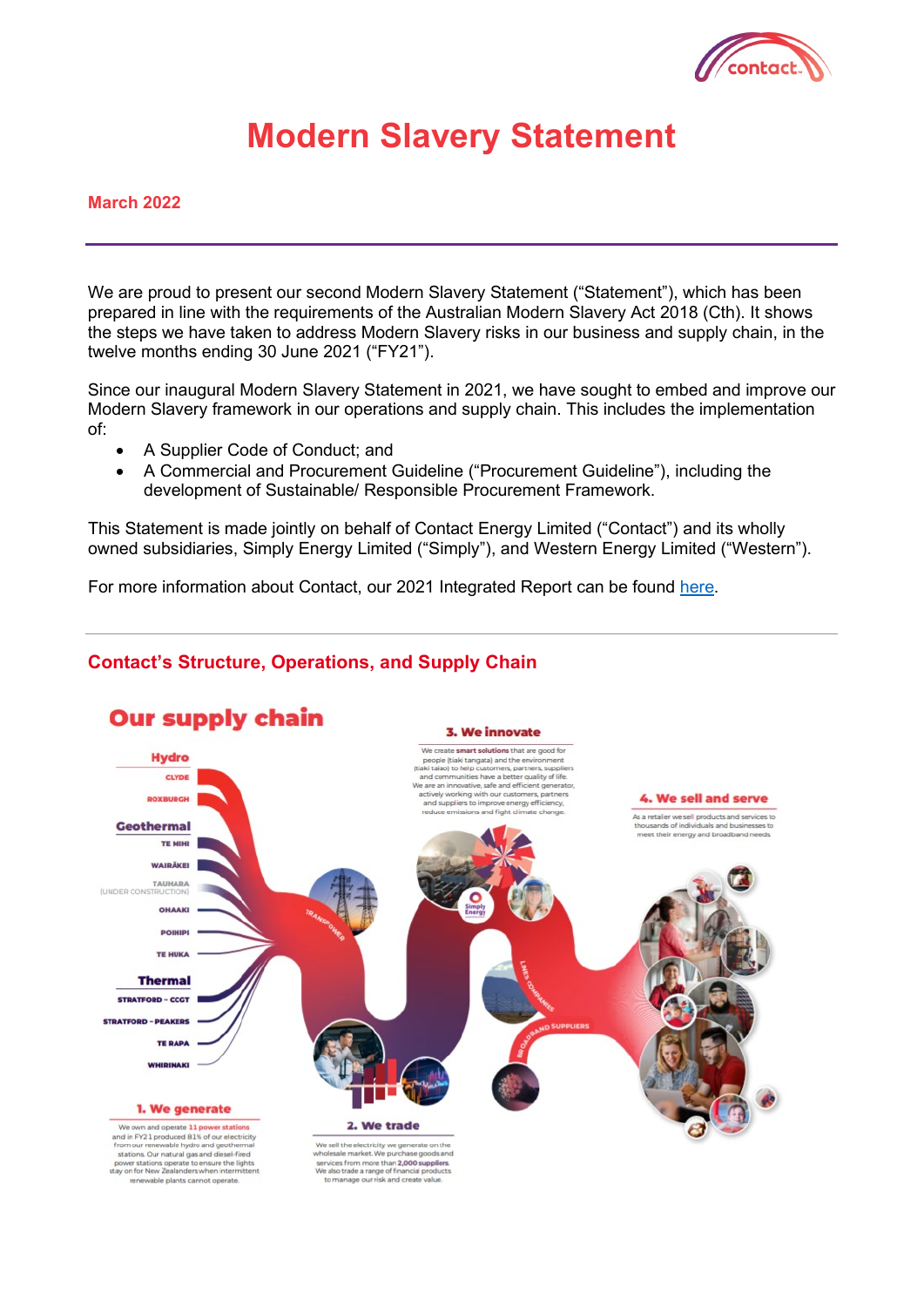

# **Modern Slavery Statement**

#### **March 2022**

We are proud to present our second Modern Slavery Statement ("Statement"), which has been prepared in line with the requirements of the Australian Modern Slavery Act 2018 (Cth). It shows the steps we have taken to address Modern Slavery risks in our business and supply chain, in the twelve months ending 30 June 2021 ("FY21").

Since our inaugural Modern Slavery Statement in 2021, we have sought to embed and improve our Modern Slavery framework in our operations and supply chain. This includes the implementation of:

- A Supplier Code of Conduct; and
- A Commercial and Procurement Guideline ("Procurement Guideline"), including the development of Sustainable/ Responsible Procurement Framework.

This Statement is made jointly on behalf of Contact Energy Limited ("Contact") and its wholly owned subsidiaries, Simply Energy Limited ("Simply"), and Western Energy Limited ("Western").

For more information about Contact, our 2021 Integrated Report can be found [here.](https://contact.co.nz/-/media/contact/mediacentre/annual-and-half-year-reports/2021-integrated-report)

## **Contact's Structure, Operations, and Supply Chain**

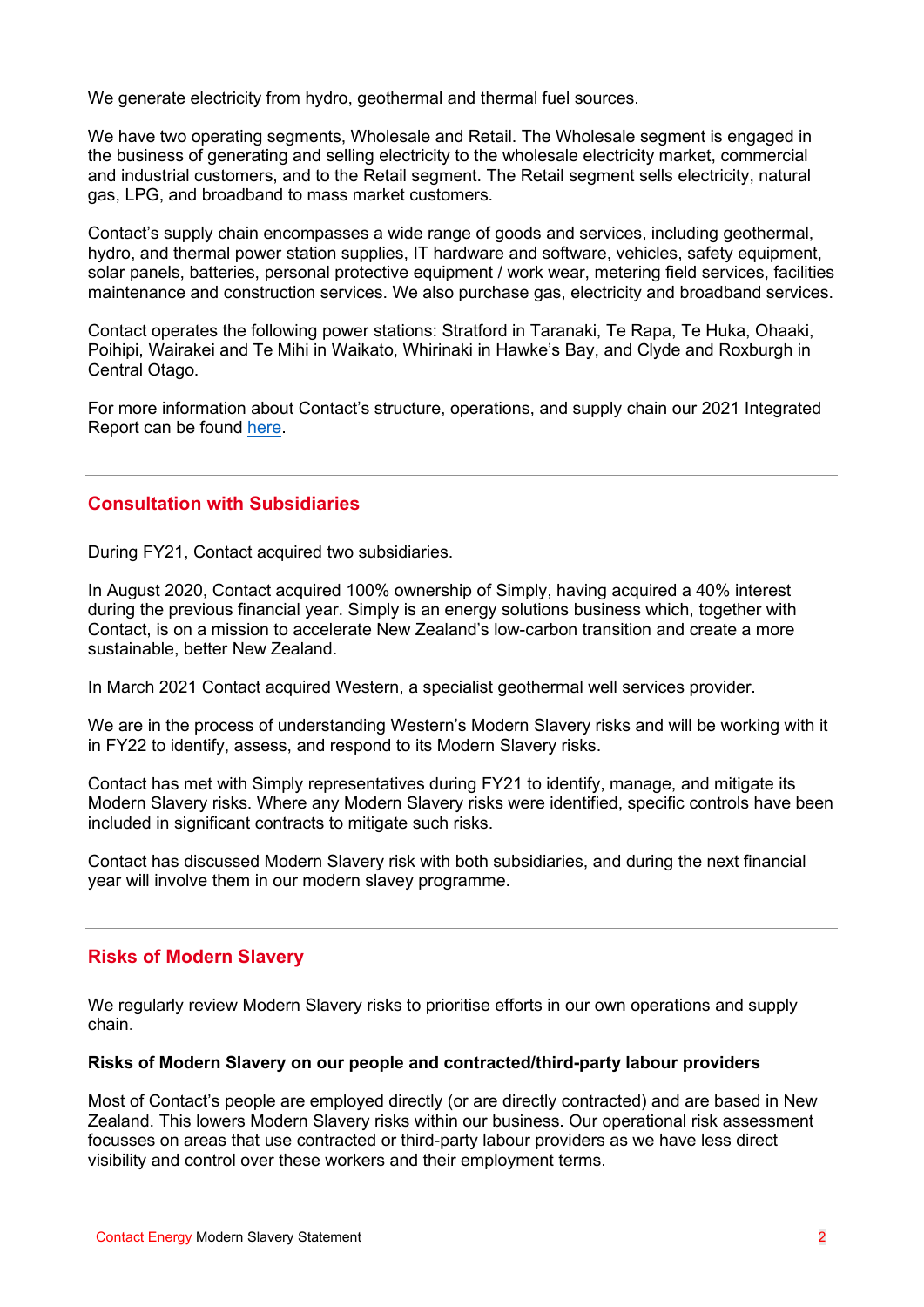We generate electricity from hydro, geothermal and thermal fuel sources.

We have two operating segments, Wholesale and Retail. The Wholesale segment is engaged in the business of generating and selling electricity to the wholesale electricity market, commercial and industrial customers, and to the Retail segment. The Retail segment sells electricity, natural gas, LPG, and broadband to mass market customers.

Contact's supply chain encompasses a wide range of goods and services, including geothermal, hydro, and thermal power station supplies, IT hardware and software, vehicles, safety equipment, solar panels, batteries, personal protective equipment / work wear, metering field services, facilities maintenance and construction services. We also purchase gas, electricity and broadband services.

Contact operates the following power stations: Stratford in Taranaki, Te Rapa, Te Huka, Ohaaki, Poihipi, Wairakei and Te Mihi in Waikato, Whirinaki in Hawke's Bay, and Clyde and Roxburgh in Central Otago.

For more information about Contact's structure, operations, and supply chain our 2021 Integrated Report can be found [here.](https://contact.co.nz/-/media/contact/mediacentre/annual-and-half-year-reports/2021-integrated-report)

## **Consultation with Subsidiaries**

During FY21, Contact acquired two subsidiaries.

In August 2020, Contact acquired 100% ownership of Simply, having acquired a 40% interest during the previous financial year. Simply is an energy solutions business which, together with Contact, is on a mission to accelerate New Zealand's low-carbon transition and create a more sustainable, better New Zealand.

In March 2021 Contact acquired Western, a specialist geothermal well services provider.

We are in the process of understanding Western's Modern Slavery risks and will be working with it in FY22 to identify, assess, and respond to its Modern Slavery risks.

Contact has met with Simply representatives during FY21 to identify, manage, and mitigate its Modern Slavery risks. Where any Modern Slavery risks were identified, specific controls have been included in significant contracts to mitigate such risks.

Contact has discussed Modern Slavery risk with both subsidiaries, and during the next financial year will involve them in our modern slavey programme.

## **Risks of Modern Slavery**

We regularly review Modern Slavery risks to prioritise efforts in our own operations and supply chain.

#### **Risks of Modern Slavery on our people and contracted/third-party labour providers**

Most of Contact's people are employed directly (or are directly contracted) and are based in New Zealand. This lowers Modern Slavery risks within our business. Our operational risk assessment focusses on areas that use contracted or third-party labour providers as we have less direct visibility and control over these workers and their employment terms.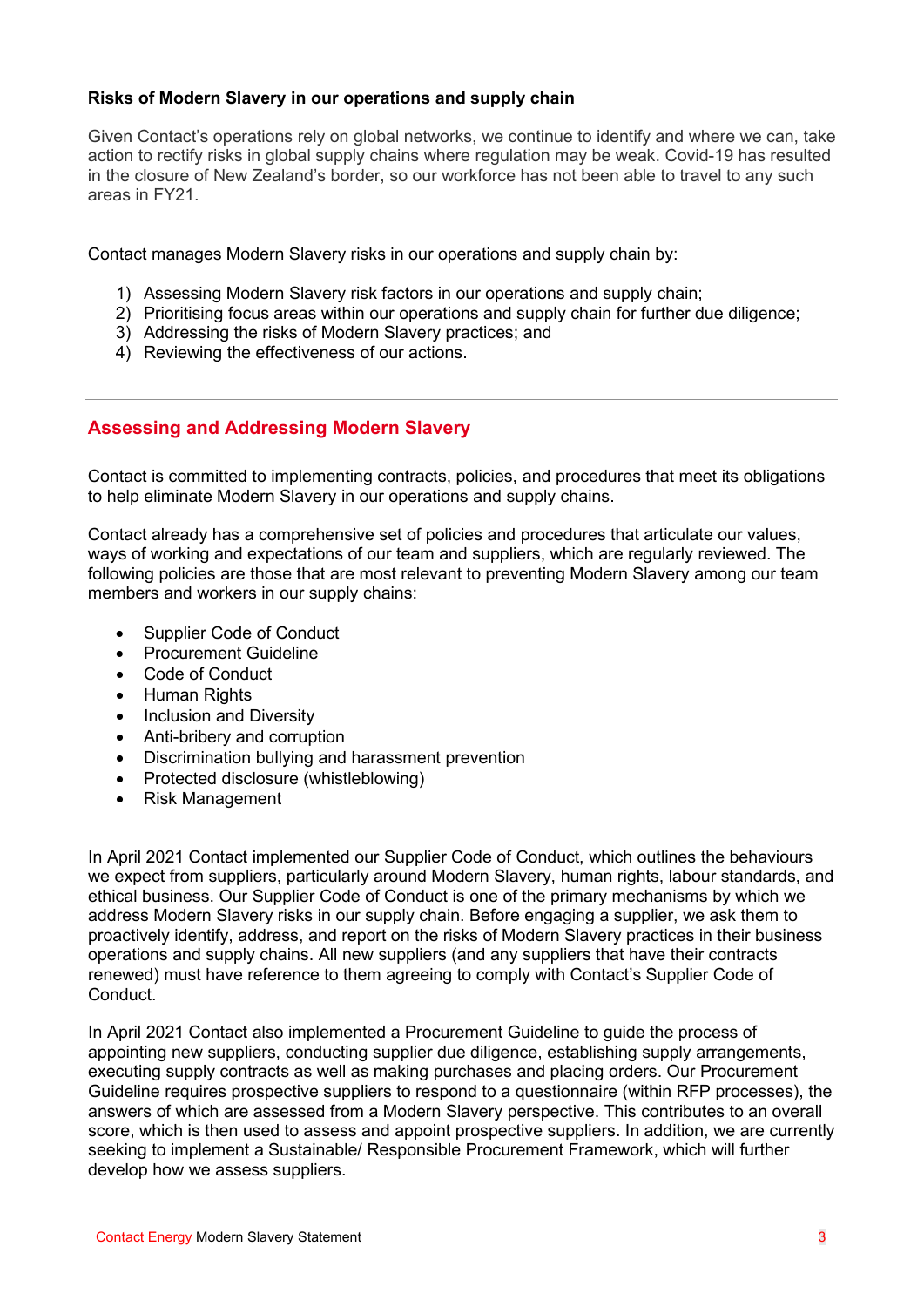#### **Risks of Modern Slavery in our operations and supply chain**

Given Contact's operations rely on global networks, we continue to identify and where we can, take action to rectify risks in global supply chains where regulation may be weak. Covid-19 has resulted in the closure of New Zealand's border, so our workforce has not been able to travel to any such areas in FY21.

Contact manages Modern Slavery risks in our operations and supply chain by:

- 1) Assessing Modern Slavery risk factors in our operations and supply chain;
- 2) Prioritising focus areas within our operations and supply chain for further due diligence;
- 3) Addressing the risks of Modern Slavery practices; and
- 4) Reviewing the effectiveness of our actions.

## **Assessing and Addressing Modern Slavery**

Contact is committed to implementing contracts, policies, and procedures that meet its obligations to help eliminate Modern Slavery in our operations and supply chains.

Contact already has a comprehensive set of policies and procedures that articulate our values, ways of working and expectations of our team and suppliers, which are regularly reviewed. The following policies are those that are most relevant to preventing Modern Slavery among our team members and workers in our supply chains:

- Supplier Code of Conduct
- Procurement Guideline
- Code of Conduct
- Human Rights
- Inclusion and Diversity
- Anti-bribery and corruption
- [Discrimination bullying and harassment prevention](https://contact.co.nz/-/media/contact/pdfs/about-us/investor-centre/governance/policies/discrimination-bullying-and-harassment-prevention-policy.ashx?la=en&hash=98903E6919C536EEE7E79374AE733139)
- [Protected disclosure \(whistleblowing\)](https://contact.co.nz/-/media/contact/pdfs/about-us/investor-centre/governance/code-of-conduct/cen-reporting-serious-concerns-directive.ashx)
- Risk Management

In April 2021 Contact implemented our Supplier Code of Conduct, which outlines the behaviours we expect from suppliers, particularly around Modern Slavery, human rights, labour standards, and ethical business. Our Supplier Code of Conduct is one of the primary mechanisms by which we address Modern Slavery risks in our supply chain. Before engaging a supplier, we ask them to proactively identify, address, and report on the risks of Modern Slavery practices in their business operations and supply chains. All new suppliers (and any suppliers that have their contracts renewed) must have reference to them agreeing to comply with Contact's Supplier Code of Conduct.

In April 2021 Contact also implemented a Procurement Guideline to guide the process of appointing new suppliers, conducting supplier due diligence, establishing supply arrangements, executing supply contracts as well as making purchases and placing orders. Our Procurement Guideline requires prospective suppliers to respond to a questionnaire (within RFP processes), the answers of which are assessed from a Modern Slavery perspective. This contributes to an overall score, which is then used to assess and appoint prospective suppliers. In addition, we are currently seeking to implement a Sustainable/ Responsible Procurement Framework, which will further develop how we assess suppliers.